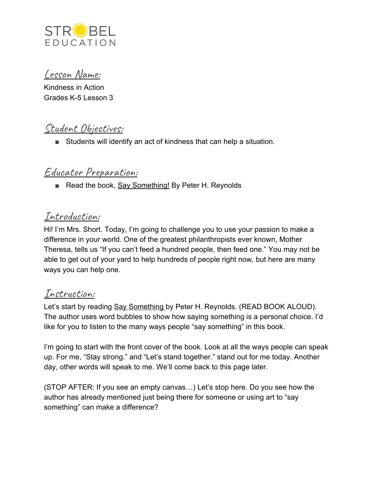

Lesson Name:

Kindness in Action Grades K-5 Lesson 3

## Student Objectives:

■ Students will identify an act of kindness that can help a situation.

# Educator Preparation:

■ Read the book, Say Something! By Peter H. Reynolds

#### Introduction:

Hi! I'm Mrs. Short. Today, I'm going to challenge you to use your passion to make a difference in your world. One of the greatest philanthropists ever known, Mother Theresa, tells us "If you can't feed a hundred people, then feed one." You may not be able to get out of your yard to help hundreds of people right now, but here are many ways you can help one.

### Instruction:

Let's start by reading Say Something by Peter H. Reynolds. (READ BOOK ALOUD). The author uses word bubbles to show how saying something is a personal choice. I'd like for you to listen to the many ways people "say something" in this book.

I'm going to start with the front cover of the book. Look at all the ways people can speak up. For me, "Stay strong." and "Let's stand together." stand out for me today. Another day, other words will speak to me. We'll come back to this page later.

(STOP AFTER: If you see an empty canvas…) Let's stop here. Do you see how the author has already mentioned just being there for someone or using art to "say something" can make a difference?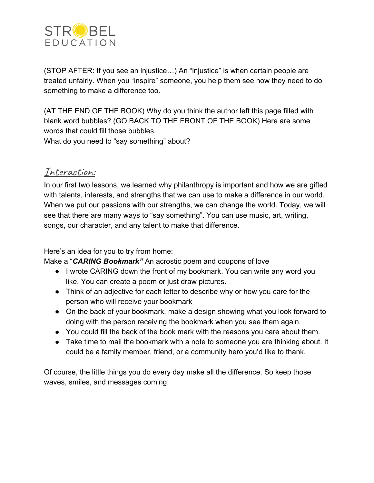

(STOP AFTER: If you see an injustice…) An "injustice" is when certain people are treated unfairly. When you "inspire" someone, you help them see how they need to do something to make a difference too.

(AT THE END OF THE BOOK) Why do you think the author left this page filled with blank word bubbles? (GO BACK TO THE FRONT OF THE BOOK) Here are some words that could fill those bubbles.

What do you need to "say something" about?

# Interaction:

In our first two lessons, we learned why philanthropy is important and how we are gifted with talents, interests, and strengths that we can use to make a difference in our world. When we put our passions with our strengths, we can change the world. Today, we will see that there are many ways to "say something". You can use music, art, writing, songs, our character, and any talent to make that difference.

Here's an idea for you to try from home:

Make a "*CARING Bookmark"* An acrostic poem and coupons of love

- I wrote CARING down the front of my bookmark. You can write any word you like. You can create a poem or just draw pictures.
- Think of an adjective for each letter to describe why or how you care for the person who will receive your bookmark
- On the back of your bookmark, make a design showing what you look forward to doing with the person receiving the bookmark when you see them again.
- You could fill the back of the book mark with the reasons you care about them.
- Take time to mail the bookmark with a note to someone you are thinking about. It could be a family member, friend, or a community hero you'd like to thank.

Of course, the little things you do every day make all the difference. So keep those waves, smiles, and messages coming.